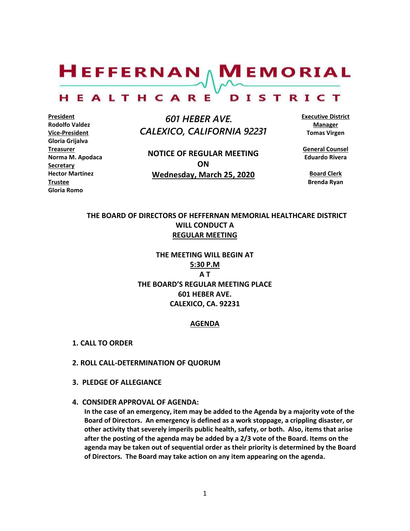$H$ EFFERNAN  $\wedge$  M EMORIAL

#### HEALTHCARE DISTRICT

**President Rodolfo Valdez Vice-President Gloria Grijalva Treasurer Norma M. Apodaca Secretary Hector Martinez Trustee Gloria Romo**

 *601 HEBER AVE. CALEXICO, CALIFORNIA 92231*

**NOTICE OF REGULAR MEETING ON Wednesday, March 25, 2020**

**Executive District Manager Tomas Virgen**

**General Counsel Eduardo Rivera**

**Board Clerk Brenda Ryan**

# **THE BOARD OF DIRECTORS OF HEFFERNAN MEMORIAL HEALTHCARE DISTRICT WILL CONDUCT A REGULAR MEETING**

**THE MEETING WILL BEGIN AT 5:30 P.M A T THE BOARD'S REGULAR MEETING PLACE 601 HEBER AVE. CALEXICO, CA. 92231**

#### **AGENDA**

- **1. CALL TO ORDER**
- **2. ROLL CALL-DETERMINATION OF QUORUM**
- **3. PLEDGE OF ALLEGIANCE**
- **4. CONSIDER APPROVAL OF AGENDA:**

**In the case of an emergency, item may be added to the Agenda by a majority vote of the Board of Directors. An emergency is defined as a work stoppage, a crippling disaster, or other activity that severely imperils public health, safety, or both. Also, items that arise after the posting of the agenda may be added by a 2/3 vote of the Board. Items on the agenda may be taken out of sequential order as their priority is determined by the Board of Directors. The Board may take action on any item appearing on the agenda.**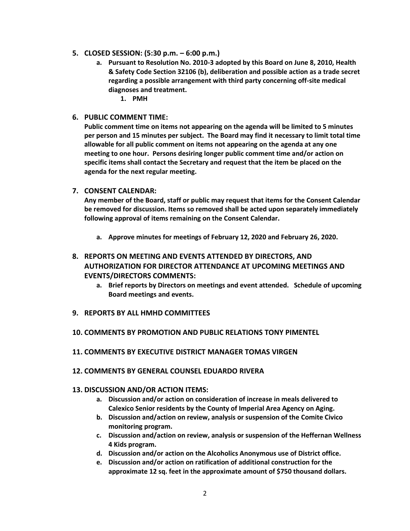- **5. CLOSED SESSION: (5:30 p.m. – 6:00 p.m.)**
	- **a. Pursuant to Resolution No. 2010-3 adopted by this Board on June 8, 2010, Health & Safety Code Section 32106 (b), deliberation and possible action as a trade secret regarding a possible arrangement with third party concerning off-site medical diagnoses and treatment.**

**1. PMH**

**6. PUBLIC COMMENT TIME:**

**Public comment time on items not appearing on the agenda will be limited to 5 minutes per person and 15 minutes per subject. The Board may find it necessary to limit total time allowable for all public comment on items not appearing on the agenda at any one meeting to one hour. Persons desiring longer public comment time and/or action on specific items shall contact the Secretary and request that the item be placed on the agenda for the next regular meeting.**

**7. CONSENT CALENDAR:**

**Any member of the Board, staff or public may request that items for the Consent Calendar be removed for discussion. Items so removed shall be acted upon separately immediately following approval of items remaining on the Consent Calendar.**

**a. Approve minutes for meetings of February 12, 2020 and February 26, 2020.**

# **8. REPORTS ON MEETING AND EVENTS ATTENDED BY DIRECTORS, AND AUTHORIZATION FOR DIRECTOR ATTENDANCE AT UPCOMING MEETINGS AND EVENTS/DIRECTORS COMMENTS:**

- **a. Brief reports by Directors on meetings and event attended. Schedule of upcoming Board meetings and events.**
- **9. REPORTS BY ALL HMHD COMMITTEES**
- **10. COMMENTS BY PROMOTION AND PUBLIC RELATIONS TONY PIMENTEL**
- **11. COMMENTS BY EXECUTIVE DISTRICT MANAGER TOMAS VIRGEN**
- **12. COMMENTS BY GENERAL COUNSEL EDUARDO RIVERA**
- **13. DISCUSSION AND/OR ACTION ITEMS:**
	- **a. Discussion and/or action on consideration of increase in meals delivered to Calexico Senior residents by the County of Imperial Area Agency on Aging.**
	- **b. Discussion and/action on review, analysis or suspension of the Comite Civico monitoring program.**
	- **c. Discussion and/action on review, analysis or suspension of the Heffernan Wellness 4 Kids program.**
	- **d. Discussion and/or action on the Alcoholics Anonymous use of District office.**
	- **e. Discussion and/or action on ratification of additional construction for the approximate 12 sq. feet in the approximate amount of \$750 thousand dollars.**